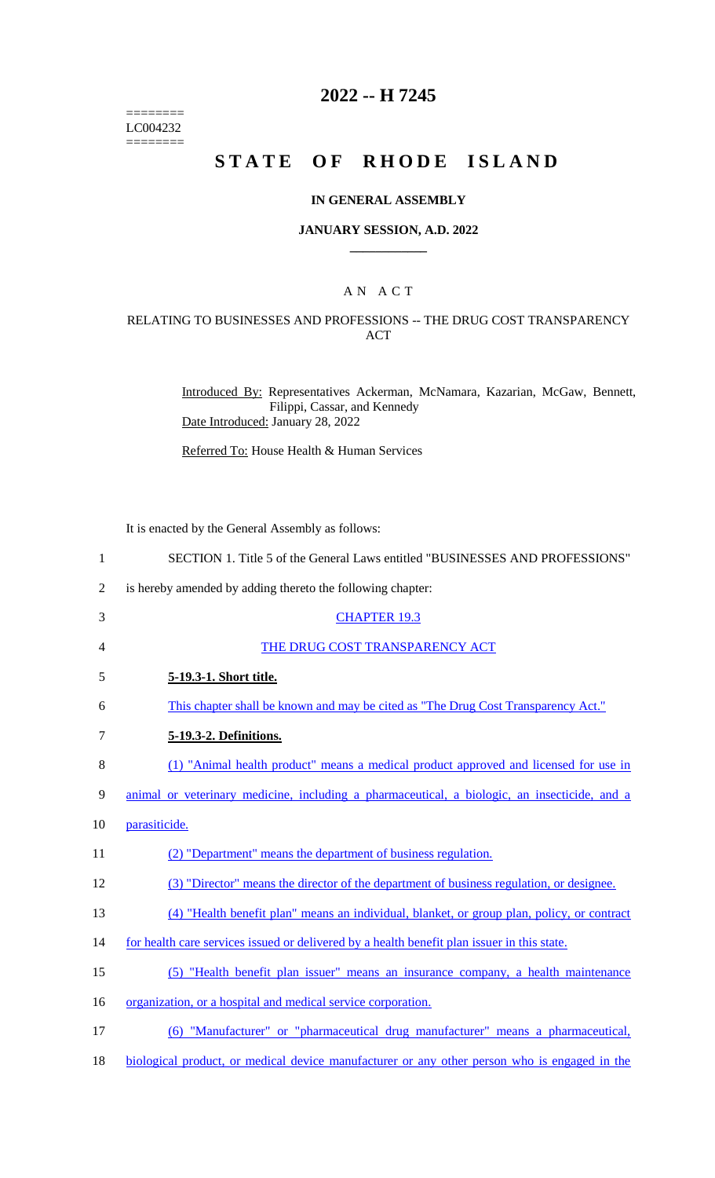======== LC004232  $=$ 

# **2022 -- H 7245**

# **STATE OF RHODE ISLAND**

#### **IN GENERAL ASSEMBLY**

#### **JANUARY SESSION, A.D. 2022 \_\_\_\_\_\_\_\_\_\_\_\_**

## A N A C T

#### RELATING TO BUSINESSES AND PROFESSIONS -- THE DRUG COST TRANSPARENCY ACT

Introduced By: Representatives Ackerman, McNamara, Kazarian, McGaw, Bennett, Filippi, Cassar, and Kennedy Date Introduced: January 28, 2022

Referred To: House Health & Human Services

It is enacted by the General Assembly as follows:

| $\mathbf{1}$   | SECTION 1. Title 5 of the General Laws entitled "BUSINESSES AND PROFESSIONS"                        |
|----------------|-----------------------------------------------------------------------------------------------------|
| $\overline{2}$ | is hereby amended by adding thereto the following chapter:                                          |
| 3              | <b>CHAPTER 19.3</b>                                                                                 |
| 4              | THE DRUG COST TRANSPARENCY ACT                                                                      |
| 5              | 5-19.3-1. Short title.                                                                              |
| 6              | This chapter shall be known and may be cited as "The Drug Cost Transparency Act."                   |
| $\tau$         | <u>5-19.3-2. Definitions.</u>                                                                       |
| $8\,$          | (1) "Animal health product" means a medical product approved and licensed for use in                |
| 9              | animal or veterinary medicine, including a pharmaceutical, a biologic, an insecticide, and a        |
| 10             | parasiticide.                                                                                       |
| 11             | (2) "Department" means the department of business regulation.                                       |
| 12             | (3) "Director" means the director of the department of business regulation, or designee.            |
| 13             | (4) "Health benefit plan" means an individual, blanket, or group plan, policy, or contract          |
| 14             | for health care services issued or delivered by a health benefit plan issuer in this state.         |
| 15             | (5) "Health benefit plan issuer" means an insurance company, a health maintenance                   |
| 16             | organization, or a hospital and medical service corporation.                                        |
| 17             | (6) "Manufacturer" or "pharmaceutical drug manufacturer" means a pharmaceutical,                    |
| 18             | <u>biological product, or medical device manufacturer or any other person who is engaged in the</u> |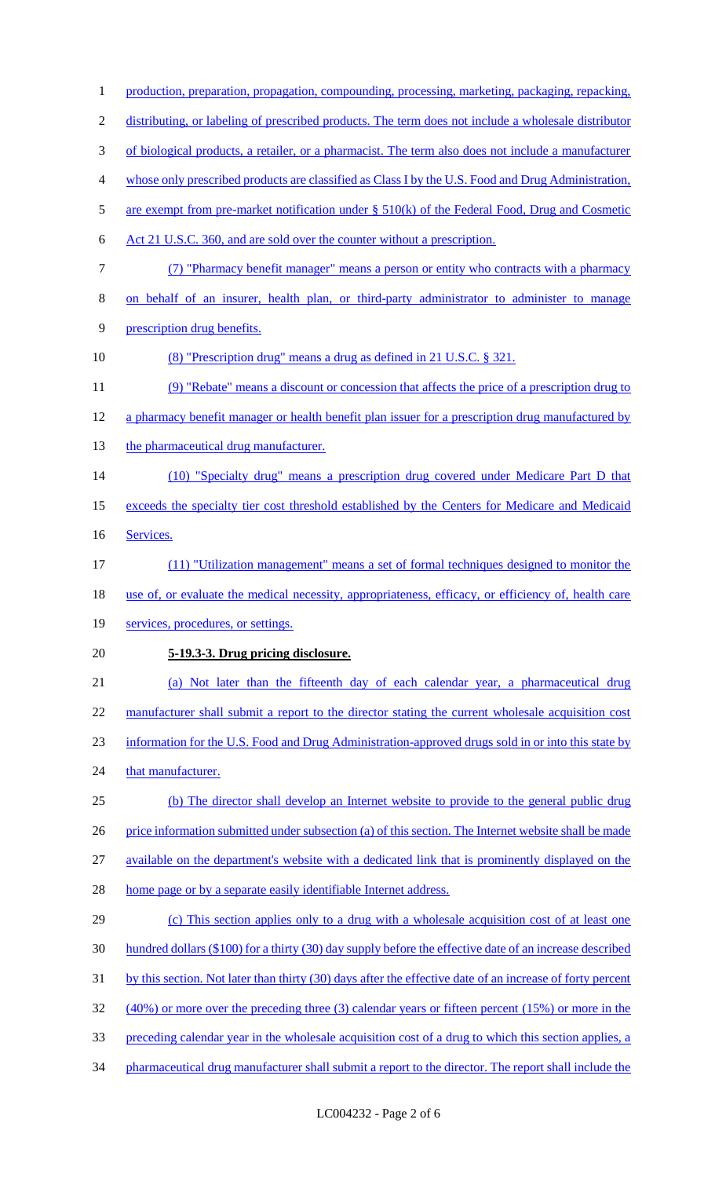1 production, preparation, propagation, compounding, processing, marketing, packaging, repacking, distributing, or labeling of prescribed products. The term does not include a wholesale distributor of biological products, a retailer, or a pharmacist. The term also does not include a manufacturer whose only prescribed products are classified as Class I by the U.S. Food and Drug Administration, 5 are exempt from pre-market notification under § 510(k) of the Federal Food, Drug and Cosmetic Act 21 U.S.C. 360, and are sold over the counter without a prescription. (7) "Pharmacy benefit manager" means a person or entity who contracts with a pharmacy 8 on behalf of an insurer, health plan, or third-party administrator to administer to manage prescription drug benefits. (8) "Prescription drug" means a drug as defined in 21 U.S.C. § 321. (9) "Rebate" means a discount or concession that affects the price of a prescription drug to 12 a pharmacy benefit manager or health benefit plan issuer for a prescription drug manufactured by 13 the pharmaceutical drug manufacturer. (10) "Specialty drug" means a prescription drug covered under Medicare Part D that 15 exceeds the specialty tier cost threshold established by the Centers for Medicare and Medicaid Services. (11) "Utilization management" means a set of formal techniques designed to monitor the 18 use of, or evaluate the medical necessity, appropriateness, efficacy, or efficiency of, health care 19 services, procedures, or settings. **5-19.3-3. Drug pricing disclosure.** (a) Not later than the fifteenth day of each calendar year, a pharmaceutical drug 22 manufacturer shall submit a report to the director stating the current wholesale acquisition cost information for the U.S. Food and Drug Administration-approved drugs sold in or into this state by 24 that manufacturer. (b) The director shall develop an Internet website to provide to the general public drug 26 price information submitted under subsection (a) of this section. The Internet website shall be made available on the department's website with a dedicated link that is prominently displayed on the home page or by a separate easily identifiable Internet address. (c) This section applies only to a drug with a wholesale acquisition cost of at least one hundred dollars (\$100) for a thirty (30) day supply before the effective date of an increase described by this section. Not later than thirty (30) days after the effective date of an increase of forty percent (40%) or more over the preceding three (3) calendar years or fifteen percent (15%) or more in the preceding calendar year in the wholesale acquisition cost of a drug to which this section applies, a pharmaceutical drug manufacturer shall submit a report to the director. The report shall include the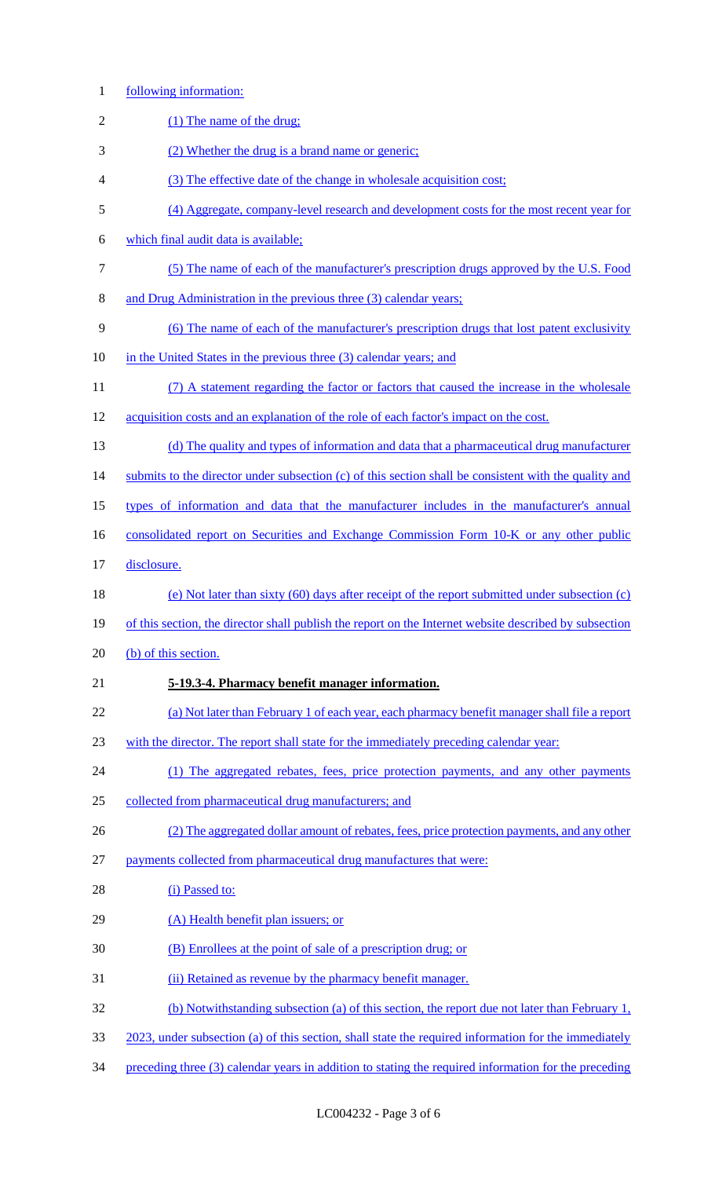following information: 2 (1) The name of the drug; (2) Whether the drug is a brand name or generic; (3) The effective date of the change in wholesale acquisition cost; (4) Aggregate, company-level research and development costs for the most recent year for which final audit data is available; (5) The name of each of the manufacturer's prescription drugs approved by the U.S. Food and Drug Administration in the previous three (3) calendar years; (6) The name of each of the manufacturer's prescription drugs that lost patent exclusivity in the United States in the previous three (3) calendar years; and (7) A statement regarding the factor or factors that caused the increase in the wholesale acquisition costs and an explanation of the role of each factor's impact on the cost. 13 (d) The quality and types of information and data that a pharmaceutical drug manufacturer 14 submits to the director under subsection (c) of this section shall be consistent with the quality and types of information and data that the manufacturer includes in the manufacturer's annual 16 consolidated report on Securities and Exchange Commission Form 10-K or any other public disclosure. (e) Not later than sixty (60) days after receipt of the report submitted under subsection (c) 19 of this section, the director shall publish the report on the Internet website described by subsection 20 (b) of this section. **5-19.3-4. Pharmacy benefit manager information.** (a) Not later than February 1 of each year, each pharmacy benefit manager shall file a report with the director. The report shall state for the immediately preceding calendar year: (1) The aggregated rebates, fees, price protection payments, and any other payments collected from pharmaceutical drug manufacturers; and (2) The aggregated dollar amount of rebates, fees, price protection payments, and any other payments collected from pharmaceutical drug manufactures that were: 28 (i) Passed to: 29 (A) Health benefit plan issuers; or (B) Enrollees at the point of sale of a prescription drug; or (ii) Retained as revenue by the pharmacy benefit manager. (b) Notwithstanding subsection (a) of this section, the report due not later than February 1, 2023, under subsection (a) of this section, shall state the required information for the immediately preceding three (3) calendar years in addition to stating the required information for the preceding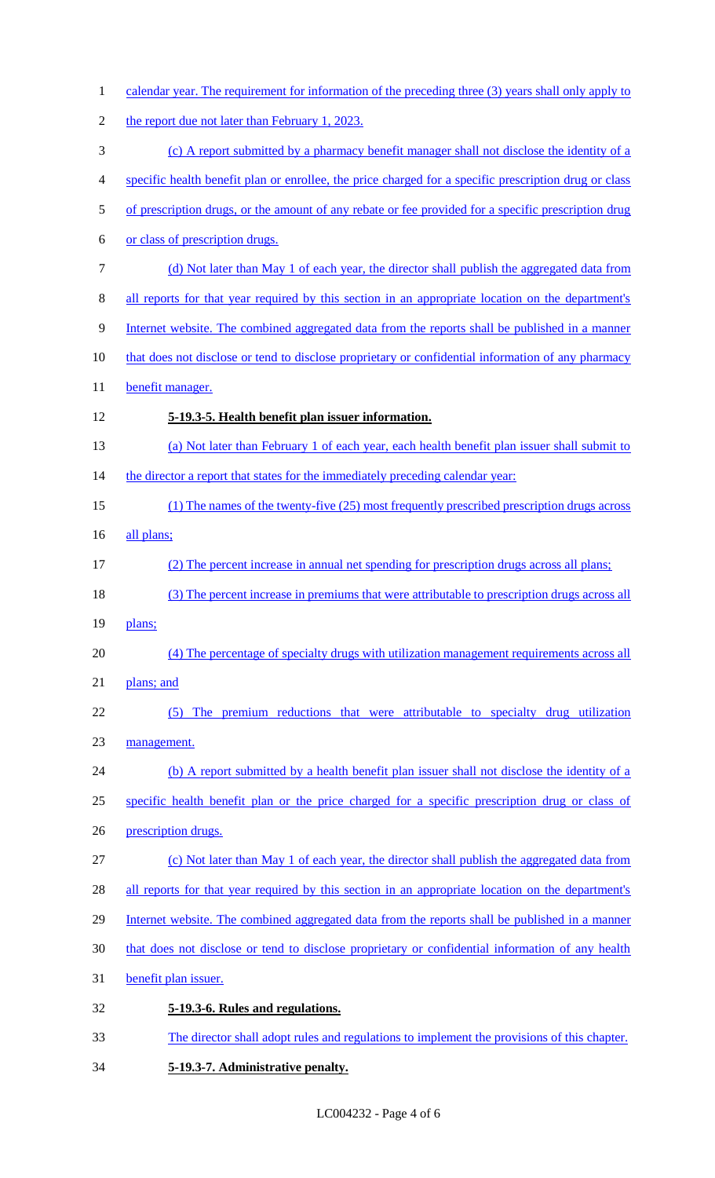| $\mathbf{1}$   | calendar year. The requirement for information of the preceding three (3) years shall only apply to   |
|----------------|-------------------------------------------------------------------------------------------------------|
| $\sqrt{2}$     | the report due not later than February 1, 2023.                                                       |
| 3              | (c) A report submitted by a pharmacy benefit manager shall not disclose the identity of a             |
| $\overline{4}$ | specific health benefit plan or enrollee, the price charged for a specific prescription drug or class |
| $\mathfrak s$  | of prescription drugs, or the amount of any rebate or fee provided for a specific prescription drug   |
| 6              | or class of prescription drugs.                                                                       |
| $\tau$         | (d) Not later than May 1 of each year, the director shall publish the aggregated data from            |
| $8\,$          | all reports for that year required by this section in an appropriate location on the department's     |
| 9              | Internet website. The combined aggregated data from the reports shall be published in a manner        |
| 10             | that does not disclose or tend to disclose proprietary or confidential information of any pharmacy    |
| 11             | benefit manager.                                                                                      |
| 12             | 5-19.3-5. Health benefit plan issuer information.                                                     |
| 13             | (a) Not later than February 1 of each year, each health benefit plan issuer shall submit to           |
| 14             | the director a report that states for the immediately preceding calendar year:                        |
| 15             | (1) The names of the twenty-five (25) most frequently prescribed prescription drugs across            |
| 16             | all plans;                                                                                            |
| 17             | (2) The percent increase in annual net spending for prescription drugs across all plans;              |
| 18             | (3) The percent increase in premiums that were attributable to prescription drugs across all          |
| 19             | plans;                                                                                                |
| 20             | (4) The percentage of specialty drugs with utilization management requirements across all             |
| 21             | plans; and                                                                                            |
| 22             | (5) The premium reductions that were attributable to specialty drug utilization                       |
| 23             | management.                                                                                           |
| 24             | (b) A report submitted by a health benefit plan issuer shall not disclose the identity of a           |
| 25             | specific health benefit plan or the price charged for a specific prescription drug or class of        |
| 26             | prescription drugs.                                                                                   |
| 27             | (c) Not later than May 1 of each year, the director shall publish the aggregated data from            |
| 28             | all reports for that year required by this section in an appropriate location on the department's     |
| 29             | Internet website. The combined aggregated data from the reports shall be published in a manner        |
| 30             | that does not disclose or tend to disclose proprietary or confidential information of any health      |
| 31             | benefit plan issuer.                                                                                  |
| 32             | 5-19.3-6. Rules and regulations.                                                                      |
| 33             | The director shall adopt rules and regulations to implement the provisions of this chapter.           |
| 34             | 5-19.3-7. Administrative penalty.                                                                     |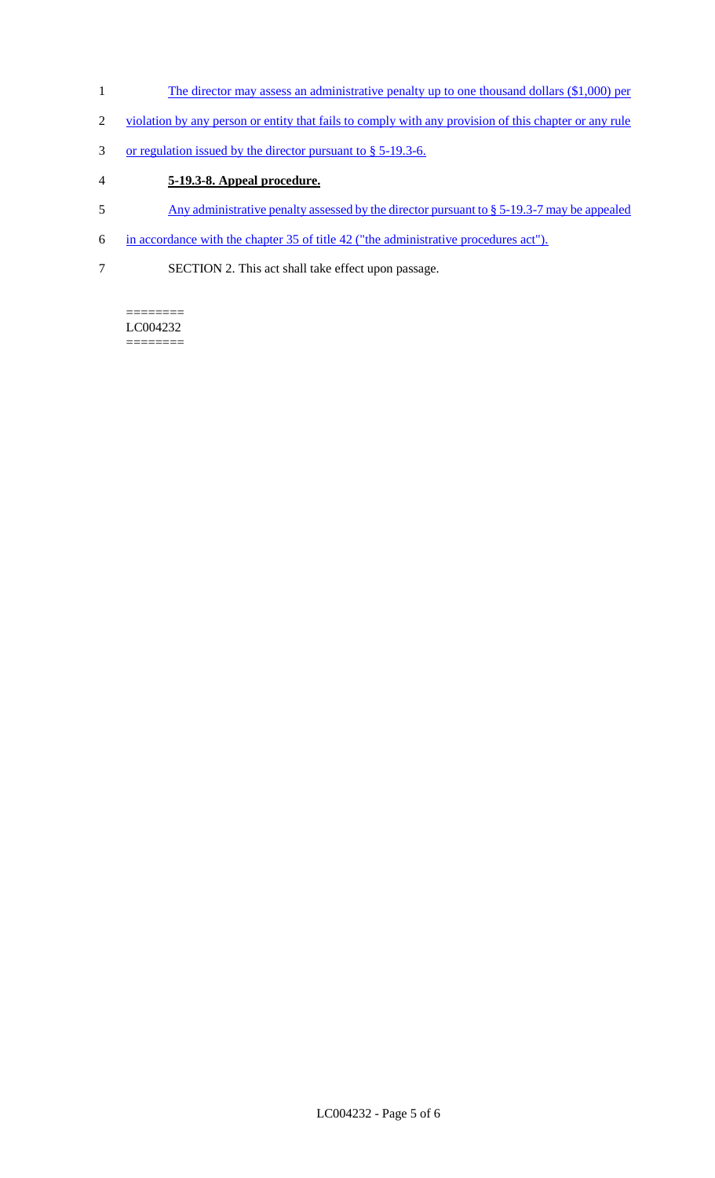- 1 The director may assess an administrative penalty up to one thousand dollars (\$1,000) per
- 2 violation by any person or entity that fails to comply with any provision of this chapter or any rule
- 3 or regulation issued by the director pursuant to § 5-19.3-6.

### 4 **5-19.3-8. Appeal procedure.**

- 5 Any administrative penalty assessed by the director pursuant to § 5-19.3-7 may be appealed
- 6 in accordance with the chapter 35 of title 42 ("the administrative procedures act").
- 7 SECTION 2. This act shall take effect upon passage.

======== LC004232 ========